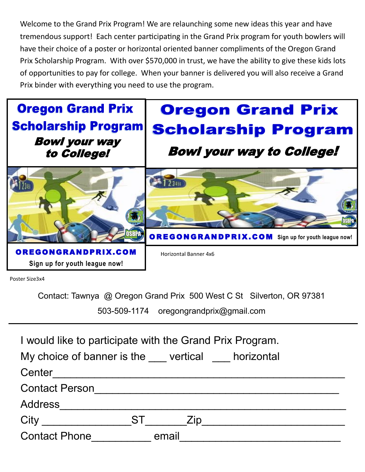Welcome to the Grand Prix Program! We are relaunching some new ideas this year and have tremendous support! Each center participating in the Grand Prix program for youth bowlers will have their choice of a poster or horizontal oriented banner compliments of the Oregon Grand Prix Scholarship Program. With over \$570,000 in trust, we have the ability to give these kids lots of opportunities to pay for college. When your banner is delivered you will also receive a Grand Prix binder with everything you need to use the program.



Poster Size3x4

Contact: Tawnya @ Oregon Grand Prix 500 West C St Silverton, OR 97381

503-509-1174 oregongrandprix@gmail.com

|                       | I would like to participate with the Grand Prix Program.                |
|-----------------------|-------------------------------------------------------------------------|
|                       | My choice of banner is the <u>secure vertical</u> securities horizontal |
| Center                |                                                                         |
| <b>Contact Person</b> |                                                                         |
| <b>Address</b>        |                                                                         |
| City                  | <b>ST</b><br>Zip                                                        |
| <b>Contact Phone</b>  | email                                                                   |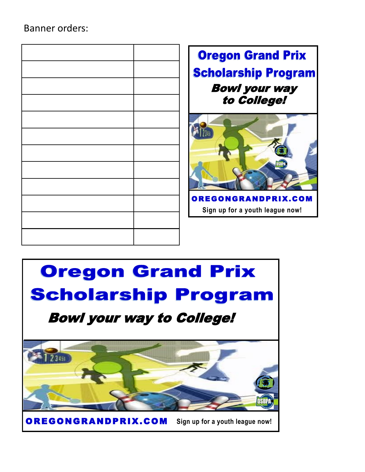## Banner orders:

| Ore<br>Scho<br>B |  |
|------------------|--|
|                  |  |
|                  |  |
|                  |  |
|                  |  |
|                  |  |
|                  |  |
| <b>OREGO</b>     |  |
| Sign u           |  |
|                  |  |
|                  |  |